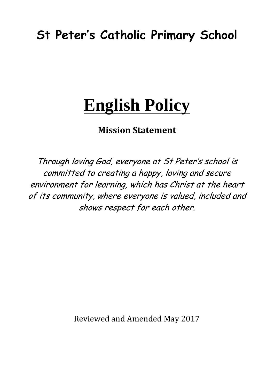## **St Peter's Catholic Primary School**

# **English Policy**

### **Mission Statement**

Through loving God, everyone at St Peter's school is committed to creating a happy, loving and secure environment for learning, which has Christ at the heart of its community, where everyone is valued, included and shows respect for each other.

Reviewed and Amended May 2017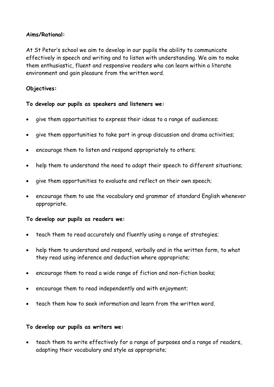#### **Aims/Rational:**

At St Peter's school we aim to develop in our pupils the ability to communicate effectively in speech and writing and to listen with understanding. We aim to make them enthusiastic, fluent and responsive readers who can learn within a literate environment and gain pleasure from the written word.

#### **Objectives:**

#### **To develop our pupils as speakers and listeners we:**

- give them opportunities to express their ideas to a range of audiences;
- give them opportunities to take part in group discussion and drama activities;
- encourage them to listen and respond appropriately to others;
- help them to understand the need to adapt their speech to different situations;
- give them opportunities to evaluate and reflect on their own speech;
- encourage them to use the vocabulary and grammar of standard English whenever appropriate.

#### **To develop our pupils as readers we:**

- teach them to read accurately and fluently using a range of strategies;
- help them to understand and respond, verbally and in the written form, to what they read using inference and deduction where appropriate;
- encourage them to read a wide range of fiction and non-fiction books;
- encourage them to read independently and with enjoyment;
- teach them how to seek information and learn from the written word.

#### **To develop our pupils as writers we:**

• teach them to write effectively for a range of purposes and a range of readers, adapting their vocabulary and style as appropriate;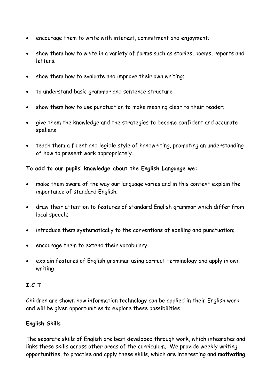- encourage them to write with interest, commitment and enjoyment;
- show them how to write in a variety of forms such as stories, poems, reports and letters;
- show them how to evaluate and improve their own writing;
- to understand basic grammar and sentence structure
- show them how to use punctuation to make meaning clear to their reader;
- give them the knowledge and the strategies to become confident and accurate spellers
- teach them a fluent and legible style of handwriting, promoting an understanding of how to present work appropriately.

#### **To add to our pupils' knowledge about the English Language we:**

- make them aware of the way our language varies and in this context explain the importance of standard English;
- draw their attention to features of standard English grammar which differ from local speech;
- introduce them systematically to the conventions of spelling and punctuation;
- encourage them to extend their vocabulary
- explain features of English grammar using correct terminology and apply in own writing

#### **I.C.T**

Children are shown how information technology can be applied in their English work and will be given opportunities to explore these possibilities.

#### **English Skills**

The separate skills of English are best developed through work, which integrates and links these skills across other areas of the curriculum. We provide weekly writing opportunities, to practise and apply these skills, which are interesting and **motivating**,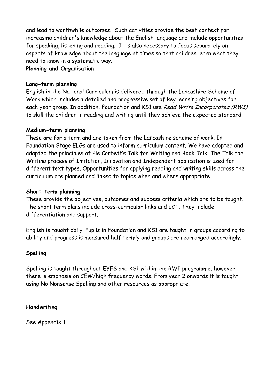and lead to worthwhile outcomes. Such activities provide the best context for increasing children's knowledge about the English language and include opportunities for speaking, listening and reading. It is also necessary to focus separately on aspects of knowledge about the language at times so that children learn what they need to know in a systematic way.

#### **Planning and Organisation**

#### **Long-term planning**

English in the National Curriculum is delivered through the Lancashire Scheme of Work which includes a detailed and progressive set of key learning objectives for each year group. In addition, Foundation and KS1 use Read Write Incorporated (RWI) to skill the children in reading and writing until they achieve the expected standard.

#### **Medium-term planning**

These are for a term and are taken from the Lancashire scheme of work. In Foundation Stage ELGs are used to inform curriculum content. We have adopted and adapted the principles of Pie Corbett's Talk for Writing and Book Talk. The Talk for Writing process of Imitation, Innovation and Independent application is used for different text types. Opportunities for applying reading and writing skills across the curriculum are planned and linked to topics when and where appropriate.

#### **Short-term planning**

These provide the objectives, outcomes and success criteria which are to be taught. The short term plans include cross-curricular links and ICT. They include differentiation and support.

English is taught daily. Pupils in Foundation and KS1 are taught in groups according to ability and progress is measured half termly and groups are rearranged accordingly.

#### **Spelling**

Spelling is taught throughout EYFS and KS1 within the RWI programme, however there is emphasis on CEW/high frequency words. From year 2 onwards it is taught using No Nonsense Spelling and other resources as appropriate.

#### **Handwriting**

See Appendix 1.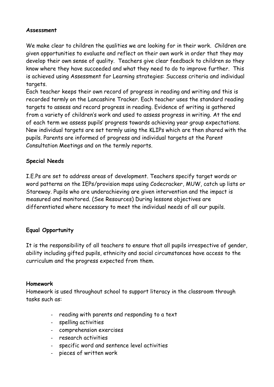#### **Assessment**

We make clear to children the qualities we are looking for in their work. Children are given opportunities to evaluate and reflect on their own work in order that they may develop their own sense of quality. Teachers give clear feedback to children so they know where they have succeeded and what they need to do to improve further. This is achieved using Assessment for Learning strategies: Success criteria and individual targets.

Each teacher keeps their own record of progress in reading and writing and this is recorded termly on the Lancashire Tracker. Each teacher uses the standard reading targets to assess and record progress in reading. Evidence of writing is gathered from a variety of children's work and used to assess progress in writing. At the end of each term we assess pupils' progress towards achieving year group expectations. New individual targets are set termly using the KLIPs which are then shared with the pupils. Parents are informed of progress and individual targets at the Parent Consultation Meetings and on the termly reports.

#### **Special Needs**

I.E.Ps are set to address areas of development. Teachers specify target words or word patterns on the IEPs/provision maps using Codecracker, MUW, catch up lists or Stareway. Pupils who are underachieving are given intervention and the impact is measured and monitored. (See Resources) During lessons objectives are differentiated where necessary to meet the individual needs of all our pupils.

#### **Equal Opportunity**

It is the responsibility of all teachers to ensure that all pupils irrespective of gender, ability including gifted pupils, ethnicity and social circumstances have access to the curriculum and the progress expected from them.

#### **Homework**

Homework is used throughout school to support literacy in the classroom through tasks such as:

- reading with parents and responding to a text
- spelling activities
- comprehension exercises
- research activities
- specific word and sentence level activities
- pieces of written work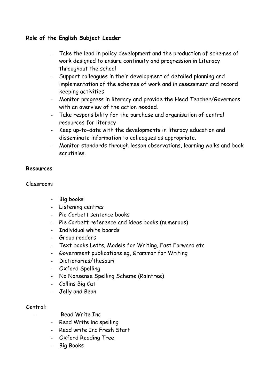#### **Role of the English Subject Leader**

- Take the lead in policy development and the production of schemes of work designed to ensure continuity and progression in Literacy throughout the school
- Support colleagues in their development of detailed planning and implementation of the schemes of work and in assessment and record keeping activities
- Monitor progress in literacy and provide the Head Teacher/Governors with an overview of the action needed.
- Take responsibility for the purchase and organisation of central resources for literacy
- Keep up-to-date with the developments in literacy education and disseminate information to colleagues as appropriate.
- Monitor standards through lesson observations, learning walks and book scrutinies.

#### **Resources**

Classroom:

- Big books
- Listening centres
- Pie Corbett sentence books
- Pie Corbett reference and ideas books (numerous)
- Individual white boards
- Group readers
- Text books Letts, Models for Writing, Fast Forward etc
- Government publications eg, Grammar for Writing
- Dictionaries/thesauri
- Oxford Spelling
- No Nonsense Spelling Scheme (Raintree)
- Collins Big Cat
- Jelly and Bean

#### Central:

- Read Write Inc
- Read Write inc spelling
- Read write Inc Fresh Start
- Oxford Reading Tree
- Big Books